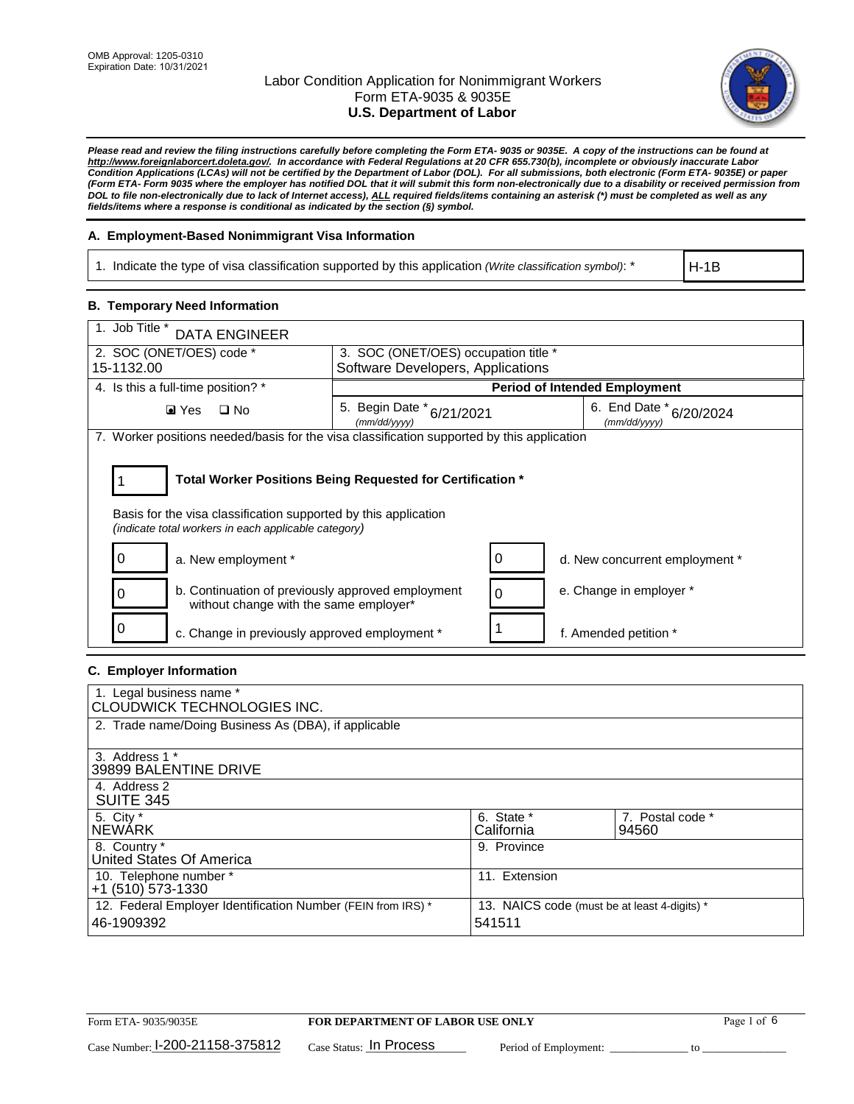

*Please read and review the filing instructions carefully before completing the Form ETA- 9035 or 9035E. A copy of the instructions can be found at [http://www.foreignlaborcert.doleta.gov/.](http://www.foreignlaborcert.doleta.gov/) In accordance with Federal Regulations at 20 CFR 655.730(b), incomplete or obviously inaccurate Labor Condition Applications (LCAs) will not be certified by the Department of Labor (DOL). For all submissions, both electronic (Form ETA- 9035E) or paper (Form ETA- Form 9035 where the employer has notified DOL that it will submit this form non-electronically due to a disability or received permission from DOL to file non-electronically due to lack of Internet access), ALL required fields/items containing an asterisk (\*) must be completed as well as any fields/items where a response is conditional as indicated by the section (§) symbol.* 

## **A. Employment-Based Nonimmigrant Visa Information**

1. Indicate the type of visa classification supported by this application *(Write classification symbol)*: \*

H-1B

## **B. Temporary Need Information**

| 1. Job Title *<br><b>DATA ENGINEER</b>                                                                                                                                                |                                                                           |                                         |  |  |  |  |
|---------------------------------------------------------------------------------------------------------------------------------------------------------------------------------------|---------------------------------------------------------------------------|-----------------------------------------|--|--|--|--|
| 2. SOC (ONET/OES) code *<br>15-1132.00                                                                                                                                                | 3. SOC (ONET/OES) occupation title *<br>Software Developers, Applications |                                         |  |  |  |  |
|                                                                                                                                                                                       |                                                                           |                                         |  |  |  |  |
| 4. Is this a full-time position? *                                                                                                                                                    |                                                                           | <b>Period of Intended Employment</b>    |  |  |  |  |
| $\blacksquare$ Yes<br>$\Box$ No                                                                                                                                                       | 5. Begin Date * 6/21/2021<br>(mm/dd/yyyy)                                 | 6. End Date * 6/20/2024<br>(mm/dd/yyyy) |  |  |  |  |
| 7. Worker positions needed/basis for the visa classification supported by this application                                                                                            |                                                                           |                                         |  |  |  |  |
| Total Worker Positions Being Requested for Certification *<br>Basis for the visa classification supported by this application<br>(indicate total workers in each applicable category) |                                                                           |                                         |  |  |  |  |
| O<br>a. New employment *                                                                                                                                                              | O                                                                         | d. New concurrent employment *          |  |  |  |  |
| b. Continuation of previously approved employment<br>without change with the same employer*                                                                                           | $\Omega$                                                                  | e. Change in employer *                 |  |  |  |  |
| c. Change in previously approved employment *                                                                                                                                         |                                                                           | f. Amended petition *                   |  |  |  |  |

## **C. Employer Information**

| 1. Legal business name *<br>CLOUDWICK TECHNOLOGIES INC.                    |                                                        |                           |
|----------------------------------------------------------------------------|--------------------------------------------------------|---------------------------|
| 2. Trade name/Doing Business As (DBA), if applicable                       |                                                        |                           |
| 3. Address 1 *<br>39899 BALENTINE DRIVE                                    |                                                        |                           |
| 4. Address 2<br><b>SUITE 345</b>                                           |                                                        |                           |
| 5. City *<br><b>NEWARK</b>                                                 | 6. State *<br>California                               | 7. Postal code *<br>94560 |
| 8. Country *<br>United States Of America                                   | 9. Province                                            |                           |
| 10. Telephone number *<br>$+1$ (510) 573-1330                              | 11. Extension                                          |                           |
| 12. Federal Employer Identification Number (FEIN from IRS) *<br>46-1909392 | 13. NAICS code (must be at least 4-digits) *<br>541511 |                           |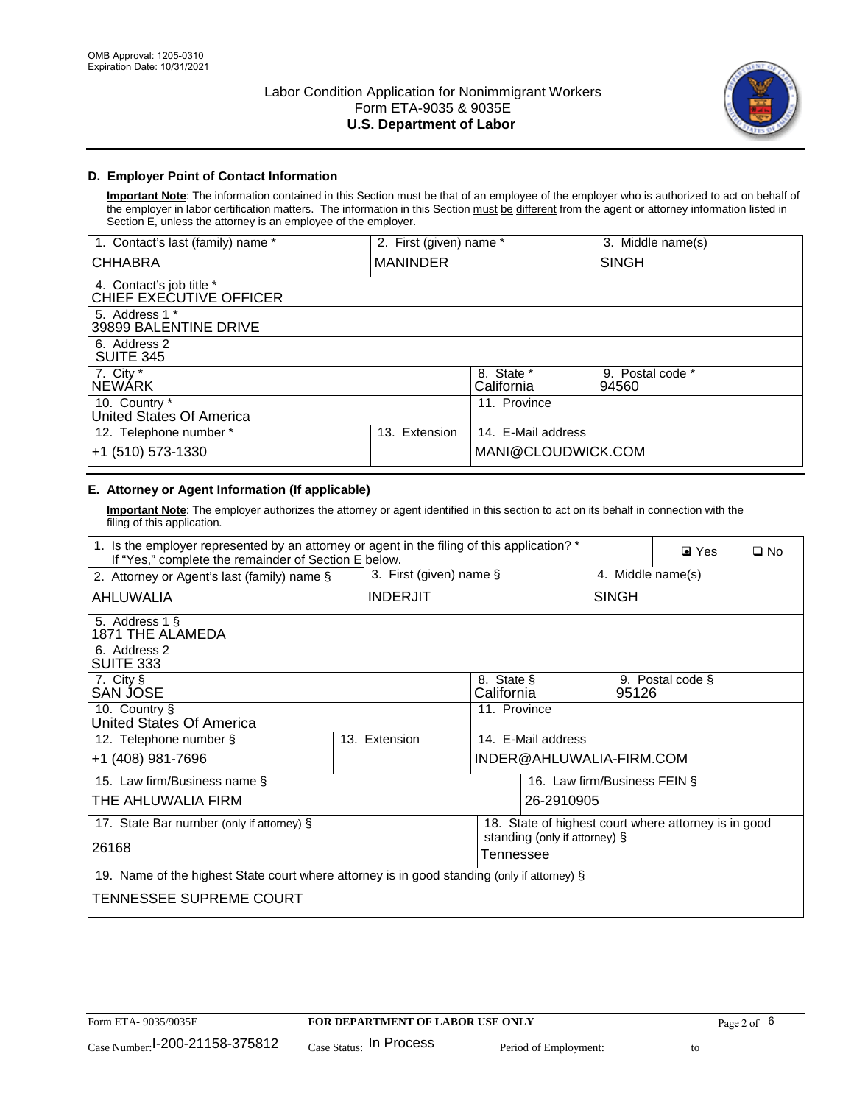

## **D. Employer Point of Contact Information**

**Important Note**: The information contained in this Section must be that of an employee of the employer who is authorized to act on behalf of the employer in labor certification matters. The information in this Section must be different from the agent or attorney information listed in Section E, unless the attorney is an employee of the employer.

| 1. Contact's last (family) name *                   | 2. First (given) name * |                          | 3. Middle name(s)         |
|-----------------------------------------------------|-------------------------|--------------------------|---------------------------|
| <b>CHHABRA</b>                                      | <b>MANINDER</b>         |                          | <b>SINGH</b>              |
| 4. Contact's job title *<br>CHIEF EXECUTIVE OFFICER |                         |                          |                           |
| 5. Address 1 *<br>39899 BALENTINE DRIVE             |                         |                          |                           |
| 6. Address 2<br><b>SUITE 345</b>                    |                         |                          |                           |
| 7. City *<br><b>NEWÁRK</b>                          |                         | 8. State *<br>California | 9. Postal code *<br>94560 |
| 10. Country *<br>United States Of America           |                         | 11. Province             |                           |
| 12. Telephone number *                              | Extension<br>13.        | 14. E-Mail address       |                           |
| +1 (510) 573-1330                                   |                         | MANI@CLOUDWICK.COM       |                           |

## **E. Attorney or Agent Information (If applicable)**

**Important Note**: The employer authorizes the attorney or agent identified in this section to act on its behalf in connection with the filing of this application.

| 1. Is the employer represented by an attorney or agent in the filing of this application? *<br>If "Yes," complete the remainder of Section E below. |                 |                                            |                                                      |                   | $\blacksquare$ Yes | $\Box$ No |
|-----------------------------------------------------------------------------------------------------------------------------------------------------|-----------------|--------------------------------------------|------------------------------------------------------|-------------------|--------------------|-----------|
| 2. Attorney or Agent's last (family) name §                                                                                                         |                 | 3. First (given) name §                    |                                                      | 4. Middle name(s) |                    |           |
| AHLUWALIA                                                                                                                                           | <b>INDERJIT</b> |                                            | <b>SINGH</b>                                         |                   |                    |           |
| 5. Address 1 §<br>1871 THE ALAMEDA                                                                                                                  |                 |                                            |                                                      |                   |                    |           |
| 6. Address 2<br><b>SUITE 333</b>                                                                                                                    |                 |                                            |                                                      |                   |                    |           |
| 7. City §<br>SAN JOSE                                                                                                                               |                 | 8. State §<br>California                   |                                                      | 95126             | 9. Postal code §   |           |
| 10. Country §<br>United States Of America                                                                                                           |                 | 11. Province                               |                                                      |                   |                    |           |
| 12. Telephone number §                                                                                                                              | 13. Extension   |                                            | 14. E-Mail address                                   |                   |                    |           |
| +1 (408) 981-7696                                                                                                                                   |                 |                                            | INDER@AHLUWALIA-FIRM.COM                             |                   |                    |           |
| 15. Law firm/Business name §                                                                                                                        |                 |                                            | 16. Law firm/Business FEIN §                         |                   |                    |           |
| THE AHLUWALIA FIRM                                                                                                                                  |                 |                                            | 26-2910905                                           |                   |                    |           |
| 17. State Bar number (only if attorney) §                                                                                                           |                 |                                            | 18. State of highest court where attorney is in good |                   |                    |           |
| 26168                                                                                                                                               |                 | standing (only if attorney) §<br>Tennessee |                                                      |                   |                    |           |
| 19. Name of the highest State court where attorney is in good standing (only if attorney) §                                                         |                 |                                            |                                                      |                   |                    |           |
| TENNESSEE SUPREME COURT                                                                                                                             |                 |                                            |                                                      |                   |                    |           |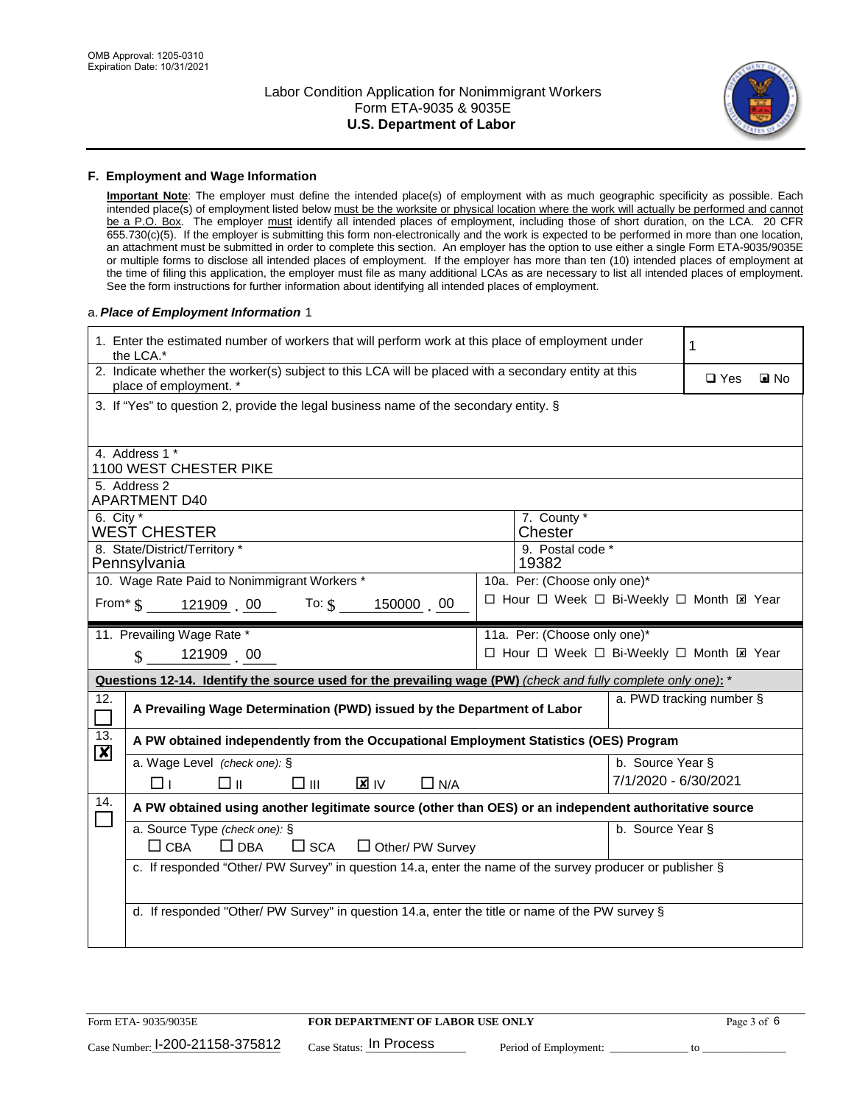

#### **F. Employment and Wage Information**

**Important Note**: The employer must define the intended place(s) of employment with as much geographic specificity as possible. Each intended place(s) of employment listed below must be the worksite or physical location where the work will actually be performed and cannot be a P.O. Box. The employer must identify all intended places of employment, including those of short duration, on the LCA. 20 CFR 655.730(c)(5). If the employer is submitting this form non-electronically and the work is expected to be performed in more than one location, an attachment must be submitted in order to complete this section. An employer has the option to use either a single Form ETA-9035/9035E or multiple forms to disclose all intended places of employment. If the employer has more than ten (10) intended places of employment at the time of filing this application, the employer must file as many additional LCAs as are necessary to list all intended places of employment. See the form instructions for further information about identifying all intended places of employment.

#### a.*Place of Employment Information* 1

| 1. Enter the estimated number of workers that will perform work at this place of employment under<br>the LCA.*                 | 1                                        |  |  |  |  |  |  |
|--------------------------------------------------------------------------------------------------------------------------------|------------------------------------------|--|--|--|--|--|--|
| 2. Indicate whether the worker(s) subject to this LCA will be placed with a secondary entity at this<br>place of employment. * | $\square$ Yes<br>$\blacksquare$ No       |  |  |  |  |  |  |
| 3. If "Yes" to question 2, provide the legal business name of the secondary entity. §                                          |                                          |  |  |  |  |  |  |
| 4. Address 1 *                                                                                                                 |                                          |  |  |  |  |  |  |
| 1100 WEST CHESTER PIKE                                                                                                         |                                          |  |  |  |  |  |  |
| 5. Address 2<br><b>APARTMENT D40</b>                                                                                           |                                          |  |  |  |  |  |  |
| 6. City $*$                                                                                                                    | 7. County *                              |  |  |  |  |  |  |
| WEST CHESTER                                                                                                                   | Chester                                  |  |  |  |  |  |  |
| 8. State/District/Territory *<br>Pennsylvania                                                                                  | 9. Postal code *<br>19382                |  |  |  |  |  |  |
| 10. Wage Rate Paid to Nonimmigrant Workers *                                                                                   | 10a. Per: (Choose only one)*             |  |  |  |  |  |  |
| From* $\$\,$ 121909 00 To: $\$\,$<br>150000 00                                                                                 | □ Hour □ Week □ Bi-Weekly □ Month ⊠ Year |  |  |  |  |  |  |
|                                                                                                                                |                                          |  |  |  |  |  |  |
| 11. Prevailing Wage Rate *                                                                                                     | 11a. Per: (Choose only one)*             |  |  |  |  |  |  |
| □ Hour □ Week □ Bi-Weekly □ Month ⊠ Year<br>121909 00<br>$\mathbf{\$}$                                                         |                                          |  |  |  |  |  |  |
|                                                                                                                                |                                          |  |  |  |  |  |  |
| Questions 12-14. Identify the source used for the prevailing wage (PW) (check and fully complete only one): *                  |                                          |  |  |  |  |  |  |
| 12.<br>A Prevailing Wage Determination (PWD) issued by the Department of Labor<br>$\overline{\phantom{0}}$                     | a. PWD tracking number §                 |  |  |  |  |  |  |
| 13.<br>A PW obtained independently from the Occupational Employment Statistics (OES) Program                                   |                                          |  |  |  |  |  |  |
| $\boldsymbol{\mathsf{X}}$<br>a. Wage Level (check one): §                                                                      | b. Source Year §                         |  |  |  |  |  |  |
| $\mathbf{X}$ IV<br>□⊥<br>□⊪<br>□⊪<br>$\Box$ N/A                                                                                | 7/1/2020 - 6/30/2021                     |  |  |  |  |  |  |
| 14.<br>A PW obtained using another legitimate source (other than OES) or an independent authoritative source                   |                                          |  |  |  |  |  |  |
| $\Box$<br>a. Source Type (check one): §                                                                                        | b. Source Year §                         |  |  |  |  |  |  |
| $\Box$ CBA<br>$\Box$ DBA<br>$\square$ SCA<br>$\Box$ Other/ PW Survey                                                           |                                          |  |  |  |  |  |  |
| c. If responded "Other/ PW Survey" in question 14.a, enter the name of the survey producer or publisher §                      |                                          |  |  |  |  |  |  |
|                                                                                                                                |                                          |  |  |  |  |  |  |
| d. If responded "Other/ PW Survey" in question 14.a, enter the title or name of the PW survey §                                |                                          |  |  |  |  |  |  |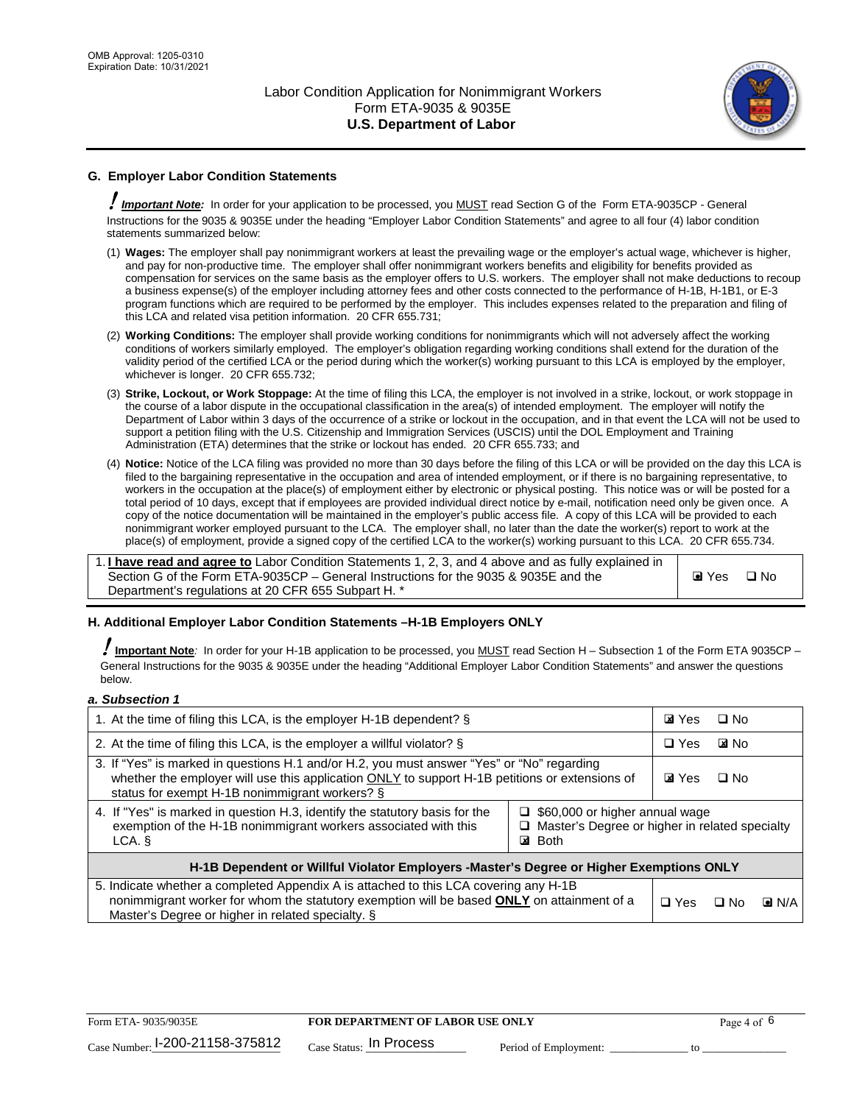

## **G. Employer Labor Condition Statements**

! *Important Note:* In order for your application to be processed, you MUST read Section G of the Form ETA-9035CP - General Instructions for the 9035 & 9035E under the heading "Employer Labor Condition Statements" and agree to all four (4) labor condition statements summarized below:

- (1) **Wages:** The employer shall pay nonimmigrant workers at least the prevailing wage or the employer's actual wage, whichever is higher, and pay for non-productive time. The employer shall offer nonimmigrant workers benefits and eligibility for benefits provided as compensation for services on the same basis as the employer offers to U.S. workers. The employer shall not make deductions to recoup a business expense(s) of the employer including attorney fees and other costs connected to the performance of H-1B, H-1B1, or E-3 program functions which are required to be performed by the employer. This includes expenses related to the preparation and filing of this LCA and related visa petition information. 20 CFR 655.731;
- (2) **Working Conditions:** The employer shall provide working conditions for nonimmigrants which will not adversely affect the working conditions of workers similarly employed. The employer's obligation regarding working conditions shall extend for the duration of the validity period of the certified LCA or the period during which the worker(s) working pursuant to this LCA is employed by the employer, whichever is longer. 20 CFR 655.732;
- (3) **Strike, Lockout, or Work Stoppage:** At the time of filing this LCA, the employer is not involved in a strike, lockout, or work stoppage in the course of a labor dispute in the occupational classification in the area(s) of intended employment. The employer will notify the Department of Labor within 3 days of the occurrence of a strike or lockout in the occupation, and in that event the LCA will not be used to support a petition filing with the U.S. Citizenship and Immigration Services (USCIS) until the DOL Employment and Training Administration (ETA) determines that the strike or lockout has ended. 20 CFR 655.733; and
- (4) **Notice:** Notice of the LCA filing was provided no more than 30 days before the filing of this LCA or will be provided on the day this LCA is filed to the bargaining representative in the occupation and area of intended employment, or if there is no bargaining representative, to workers in the occupation at the place(s) of employment either by electronic or physical posting. This notice was or will be posted for a total period of 10 days, except that if employees are provided individual direct notice by e-mail, notification need only be given once. A copy of the notice documentation will be maintained in the employer's public access file. A copy of this LCA will be provided to each nonimmigrant worker employed pursuant to the LCA. The employer shall, no later than the date the worker(s) report to work at the place(s) of employment, provide a signed copy of the certified LCA to the worker(s) working pursuant to this LCA. 20 CFR 655.734.

1. **I have read and agree to** Labor Condition Statements 1, 2, 3, and 4 above and as fully explained in Section G of the Form ETA-9035CP – General Instructions for the 9035 & 9035E and the Department's regulations at 20 CFR 655 Subpart H. \*

**O** Yes **D** No

## **H. Additional Employer Labor Condition Statements –H-1B Employers ONLY**

!**Important Note***:* In order for your H-1B application to be processed, you MUST read Section H – Subsection 1 of the Form ETA 9035CP – General Instructions for the 9035 & 9035E under the heading "Additional Employer Labor Condition Statements" and answer the questions below.

#### *a. Subsection 1*

| 1. At the time of filing this LCA, is the employer H-1B dependent? §                                                                                                                                                                                               |  |  | $\Box$ No    |                    |
|--------------------------------------------------------------------------------------------------------------------------------------------------------------------------------------------------------------------------------------------------------------------|--|--|--------------|--------------------|
| 2. At the time of filing this LCA, is the employer a willful violator? $\S$                                                                                                                                                                                        |  |  | <b>EXINO</b> |                    |
| 3. If "Yes" is marked in questions H.1 and/or H.2, you must answer "Yes" or "No" regarding<br>whether the employer will use this application ONLY to support H-1B petitions or extensions of<br>status for exempt H-1B nonimmigrant workers? §                     |  |  | $\Box$ No    |                    |
| 4. If "Yes" is marked in question H.3, identify the statutory basis for the<br>$\Box$ \$60,000 or higher annual wage<br>exemption of the H-1B nonimmigrant workers associated with this<br>Master's Degree or higher in related specialty<br><b>⊠</b> Both<br>LCA. |  |  |              |                    |
| H-1B Dependent or Willful Violator Employers -Master's Degree or Higher Exemptions ONLY                                                                                                                                                                            |  |  |              |                    |
| 5. Indicate whether a completed Appendix A is attached to this LCA covering any H-1B<br>nonimmigrant worker for whom the statutory exemption will be based <b>ONLY</b> on attainment of a<br>Master's Degree or higher in related specialty. §                     |  |  | ⊡ No         | $\blacksquare$ N/A |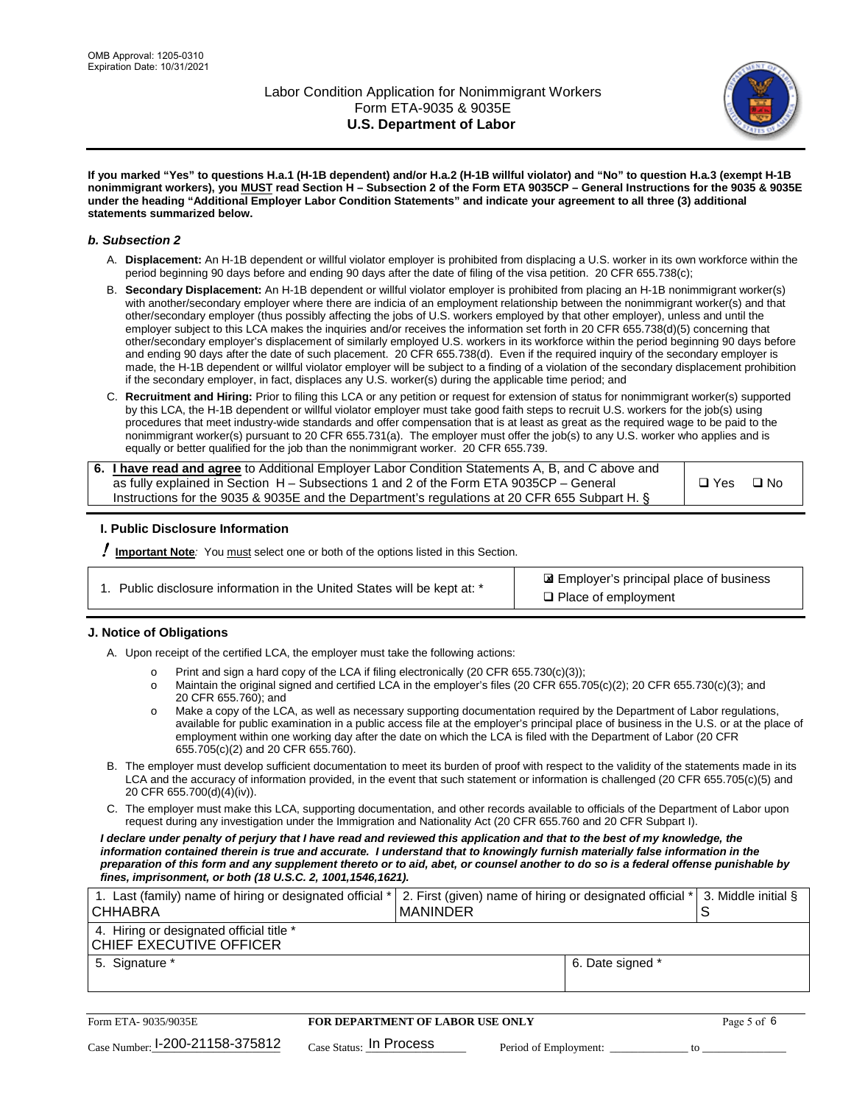

**If you marked "Yes" to questions H.a.1 (H-1B dependent) and/or H.a.2 (H-1B willful violator) and "No" to question H.a.3 (exempt H-1B nonimmigrant workers), you MUST read Section H – Subsection 2 of the Form ETA 9035CP – General Instructions for the 9035 & 9035E under the heading "Additional Employer Labor Condition Statements" and indicate your agreement to all three (3) additional statements summarized below.**

#### *b. Subsection 2*

- A. **Displacement:** An H-1B dependent or willful violator employer is prohibited from displacing a U.S. worker in its own workforce within the period beginning 90 days before and ending 90 days after the date of filing of the visa petition. 20 CFR 655.738(c);
- B. **Secondary Displacement:** An H-1B dependent or willful violator employer is prohibited from placing an H-1B nonimmigrant worker(s) with another/secondary employer where there are indicia of an employment relationship between the nonimmigrant worker(s) and that other/secondary employer (thus possibly affecting the jobs of U.S. workers employed by that other employer), unless and until the employer subject to this LCA makes the inquiries and/or receives the information set forth in 20 CFR 655.738(d)(5) concerning that other/secondary employer's displacement of similarly employed U.S. workers in its workforce within the period beginning 90 days before and ending 90 days after the date of such placement. 20 CFR 655.738(d). Even if the required inquiry of the secondary employer is made, the H-1B dependent or willful violator employer will be subject to a finding of a violation of the secondary displacement prohibition if the secondary employer, in fact, displaces any U.S. worker(s) during the applicable time period; and
- C. **Recruitment and Hiring:** Prior to filing this LCA or any petition or request for extension of status for nonimmigrant worker(s) supported by this LCA, the H-1B dependent or willful violator employer must take good faith steps to recruit U.S. workers for the job(s) using procedures that meet industry-wide standards and offer compensation that is at least as great as the required wage to be paid to the nonimmigrant worker(s) pursuant to 20 CFR 655.731(a). The employer must offer the job(s) to any U.S. worker who applies and is equally or better qualified for the job than the nonimmigrant worker. 20 CFR 655.739.

| 6. I have read and agree to Additional Employer Labor Condition Statements A, B, and C above and |       |      |
|--------------------------------------------------------------------------------------------------|-------|------|
| as fully explained in Section H – Subsections 1 and 2 of the Form ETA 9035CP – General           | □ Yes | ⊟ No |
| Instructions for the 9035 & 9035E and the Department's regulations at 20 CFR 655 Subpart H. §    |       |      |

## **I. Public Disclosure Information**

! **Important Note***:* You must select one or both of the options listed in this Section.

| 1. Public disclosure information in the United States will be kept at: * |  |
|--------------------------------------------------------------------------|--|
|                                                                          |  |

 Employer's principal place of business ✘ □ Place of employment

## **J. Notice of Obligations**

A. Upon receipt of the certified LCA, the employer must take the following actions:

- o Print and sign a hard copy of the LCA if filing electronically (20 CFR 655.730(c)(3));<br>
Maintain the original signed and certified LCA in the employer's files (20 CFR 655.7
- Maintain the original signed and certified LCA in the employer's files (20 CFR 655.705(c)(2); 20 CFR 655.730(c)(3); and 20 CFR 655.760); and
- o Make a copy of the LCA, as well as necessary supporting documentation required by the Department of Labor regulations, available for public examination in a public access file at the employer's principal place of business in the U.S. or at the place of employment within one working day after the date on which the LCA is filed with the Department of Labor (20 CFR 655.705(c)(2) and 20 CFR 655.760).
- B. The employer must develop sufficient documentation to meet its burden of proof with respect to the validity of the statements made in its LCA and the accuracy of information provided, in the event that such statement or information is challenged (20 CFR 655.705(c)(5) and 20 CFR 655.700(d)(4)(iv)).
- C. The employer must make this LCA, supporting documentation, and other records available to officials of the Department of Labor upon request during any investigation under the Immigration and Nationality Act (20 CFR 655.760 and 20 CFR Subpart I).

*I declare under penalty of perjury that I have read and reviewed this application and that to the best of my knowledge, the*  information contained therein is true and accurate. I understand that to knowingly furnish materially false information in the *preparation of this form and any supplement thereto or to aid, abet, or counsel another to do so is a federal offense punishable by fines, imprisonment, or both (18 U.S.C. 2, 1001,1546,1621).*

| 1. Last (family) name of hiring or designated official *  2. First (given) name of hiring or designated official *  3. Middle initial §<br>I CHHABRA | I MANINDER       |  |
|------------------------------------------------------------------------------------------------------------------------------------------------------|------------------|--|
| 4. Hiring or designated official title *<br>CHIEF EXECUTIVE OFFICER                                                                                  |                  |  |
| 5. Signature *                                                                                                                                       | 6. Date signed * |  |